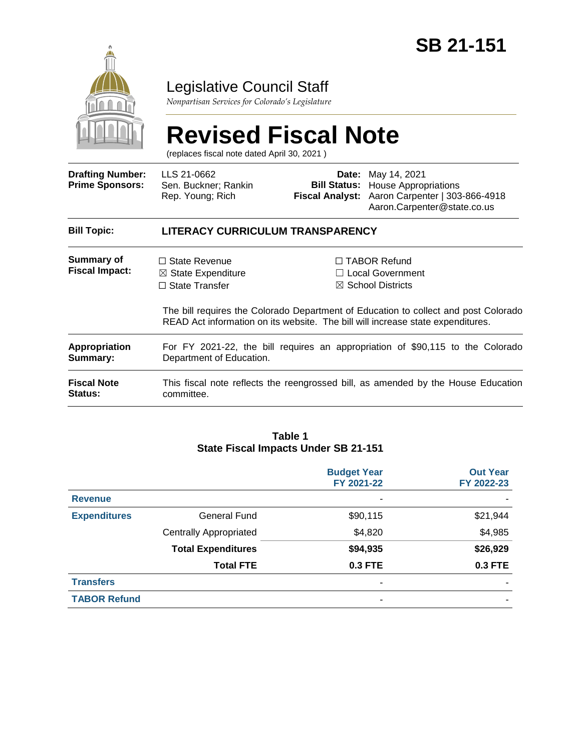

## Legislative Council Staff

*Nonpartisan Services for Colorado's Legislature*

# **Revised Fiscal Note**

(replaces fiscal note dated April 30, 2021 )

| <b>Drafting Number:</b><br><b>Prime Sponsors:</b> | LLS 21-0662<br>Sen. Buckner; Rankin<br>Rep. Young; Rich                                                    |  | <b>Date:</b> May 14, 2021<br><b>Bill Status:</b> House Appropriations<br>Fiscal Analyst: Aaron Carpenter   303-866-4918<br>Aaron.Carpenter@state.co.us                                                                                                   |  |  |
|---------------------------------------------------|------------------------------------------------------------------------------------------------------------|--|----------------------------------------------------------------------------------------------------------------------------------------------------------------------------------------------------------------------------------------------------------|--|--|
| <b>Bill Topic:</b>                                | <b>LITERACY CURRICULUM TRANSPARENCY</b>                                                                    |  |                                                                                                                                                                                                                                                          |  |  |
| Summary of<br><b>Fiscal Impact:</b>               | $\Box$ State Revenue<br>$\boxtimes$ State Expenditure<br>$\Box$ State Transfer                             |  | $\Box$ TABOR Refund<br>$\Box$ Local Government<br>$\boxtimes$ School Districts<br>The bill requires the Colorado Department of Education to collect and post Colorado<br>READ Act information on its website. The bill will increase state expenditures. |  |  |
| <b>Appropriation</b><br>Summary:                  | For FY 2021-22, the bill requires an appropriation of \$90,115 to the Colorado<br>Department of Education. |  |                                                                                                                                                                                                                                                          |  |  |
| <b>Fiscal Note</b><br><b>Status:</b>              | This fiscal note reflects the reengrossed bill, as amended by the House Education<br>committee.            |  |                                                                                                                                                                                                                                                          |  |  |

#### **Table 1 State Fiscal Impacts Under SB 21-151**

|                     |                               | <b>Budget Year</b><br>FY 2021-22 | <b>Out Year</b><br>FY 2022-23 |
|---------------------|-------------------------------|----------------------------------|-------------------------------|
| <b>Revenue</b>      |                               | ٠                                |                               |
| <b>Expenditures</b> | General Fund                  | \$90,115                         | \$21,944                      |
|                     | <b>Centrally Appropriated</b> | \$4,820                          | \$4,985                       |
|                     | <b>Total Expenditures</b>     | \$94,935                         | \$26,929                      |
|                     | <b>Total FTE</b>              | 0.3 FTE                          | <b>0.3 FTE</b>                |
| <b>Transfers</b>    |                               | ۰                                |                               |
| <b>TABOR Refund</b> |                               | ۰                                |                               |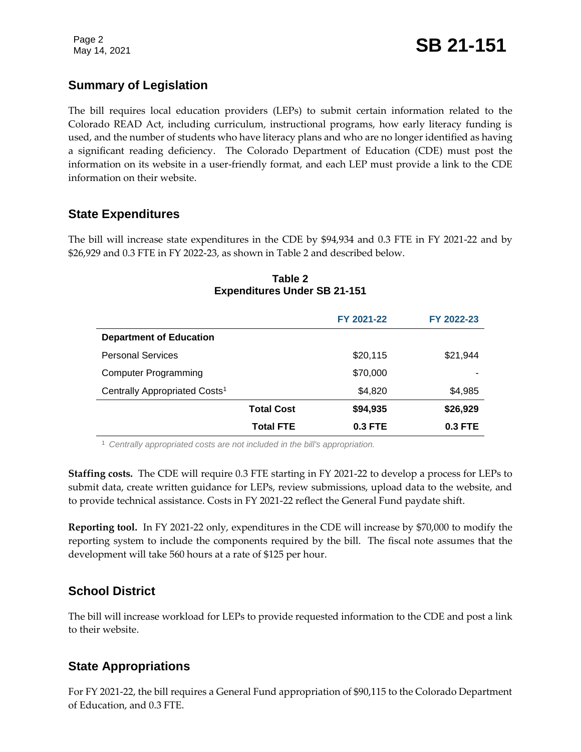## **Summary of Legislation**

The bill requires local education providers (LEPs) to submit certain information related to the Colorado READ Act, including curriculum, instructional programs, how early literacy funding is used, and the number of students who have literacy plans and who are no longer identified as having a significant reading deficiency. The Colorado Department of Education (CDE) must post the information on its website in a user-friendly format, and each LEP must provide a link to the CDE information on their website.

## **State Expenditures**

The bill will increase state expenditures in the CDE by \$94,934 and 0.3 FTE in FY 2021-22 and by \$26,929 and 0.3 FTE in FY 2022-23, as shown in Table 2 and described below.

|                                           |                   | FY 2021-22 | FY 2022-23 |
|-------------------------------------------|-------------------|------------|------------|
| <b>Department of Education</b>            |                   |            |            |
| <b>Personal Services</b>                  |                   | \$20,115   | \$21,944   |
| <b>Computer Programming</b>               |                   | \$70,000   |            |
| Centrally Appropriated Costs <sup>1</sup> |                   | \$4,820    | \$4,985    |
|                                           | <b>Total Cost</b> | \$94,935   | \$26,929   |
|                                           | <b>Total FTE</b>  | 0.3 FTE    | $0.3$ FTE  |

#### **Table 2 Expenditures Under SB 21-151**

<sup>1</sup> *Centrally appropriated costs are not included in the bill's appropriation.*

**Staffing costs.** The CDE will require 0.3 FTE starting in FY 2021-22 to develop a process for LEPs to submit data, create written guidance for LEPs, review submissions, upload data to the website, and to provide technical assistance. Costs in FY 2021-22 reflect the General Fund paydate shift.

**Reporting tool.** In FY 2021-22 only, expenditures in the CDE will increase by \$70,000 to modify the reporting system to include the components required by the bill. The fiscal note assumes that the development will take 560 hours at a rate of \$125 per hour.

## **School District**

The bill will increase workload for LEPs to provide requested information to the CDE and post a link to their website.

## **State Appropriations**

For FY 2021-22, the bill requires a General Fund appropriation of \$90,115 to the Colorado Department of Education, and 0.3 FTE.